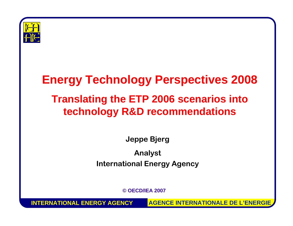

#### **Energy Technology Perspectives 2008 Translating the ETP 2006 scenarios into technology R&D recommendations**

**Jeppe Bjerg Analyst International Energy Agency**

**©OECD/IEA 2007**

**INTERNATIONAL ENERGY AGENCY**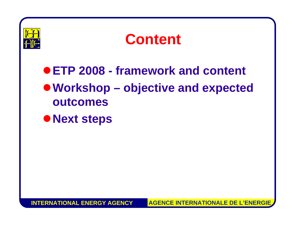



#### z**ETP 2008 - framework and content** <sup>z</sup>**Workshop – objective and expected outcomes**

 $\bullet$  **Next steps** 

**INTERNATIONAL ENERGY AGENCYAGENCE INTERNATIONALE DE L'ENERGIE**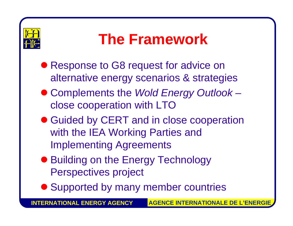

## **The Framework**

- Response to G8 request for advice on alternative energy scenarios & strategies
- z Complements the *Wold Energy Outlook* **However the Company** close cooperation with LTO
- Guided by CERT and in close cooperation with the IEA Working Parties and Implementing Agreements
- **Building on the Energy Technology** Perspectives project
- Supported by many member countries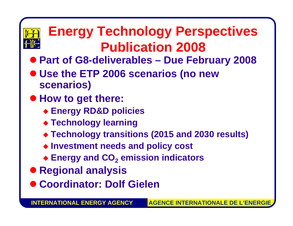

#### **Energy Technology Perspectives Publication 2008**

- z **Part of G8-deliverables – Due February 2008**
- z **Use the ETP 2006 scenarios (no new scenarios)**
- $\bullet$  How to get there:
	- **Energy RD&D policies**
	- **Technology learning**
	- **Technology transitions (2015 and 2030 results)**
	- **Investment needs and policy cost**
	- **Energy and CO 2 emission indicators**
- **Regional analysis**
- z **Coordinator: Dolf Gielen**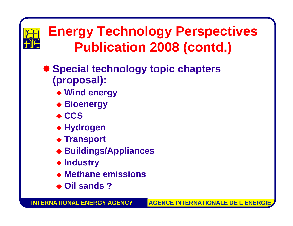

#### **Energy Technology Perspectives Publication 2008 (contd.)**

- $\bullet$  **Special technology topic chapters (proposal):**
	- **Wind energy**
	- **Bioenergy**
	- ◆ CCS
	- **Hydrogen**
	- ◆ Transport
	- **Buildings/Appliances**
	- **Industry**
	- **Methane emissions**
	- **Oil sands ?**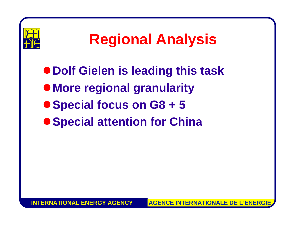

## **Regional Analysis**

z**Dolf Gielen is leading this task**  $\bullet$  **More regional granularity** ● Special focus on G8 + 5  $\bullet$  **Special attention for China**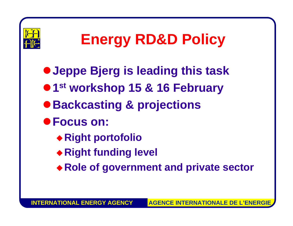

## **Energy RD&D Policy**

<sup>z</sup>**Jeppe Bjerg is leading this task •1st** workshop 15 & 16 February <sup>z</sup>**Backcasting & projections** z**Focus on: Right portofolio Right funding level**

◆ Role of government and private sector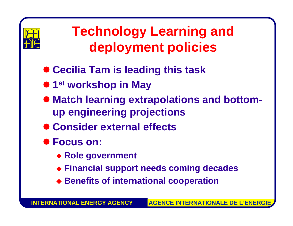

#### **Technology Learning and deployment policies**

- **Cecilia Tam is leading this task**
- $\bullet$  **1st workshop in May**
- **Match learning extrapolations and bottomup engineering projections**
- $\bullet$  **Consider external effects**
- $\bullet$  **Focus on:** 
	- **Role government**
	- **Financial support needs coming decades**
	- **Benefits of international cooperation**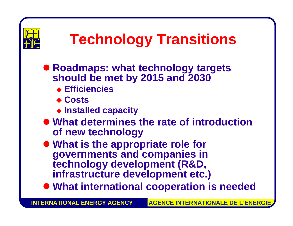

## **Technology Transitions**

- **Roadmaps: what technology targets should be met by 2015 and 2030** 
	- **Efficiencies**
	- **Costs**
	- **Installed capacity**
- **What determines the rate of introduction of new technology**

 $\bullet$  **What is the appropriate role for governments and companies in technology development (R&D, infrastructure development etc.)**

 $\bullet$  **What international cooperation is needed** 

**INTERNATIONAL ENERGY AGENCY**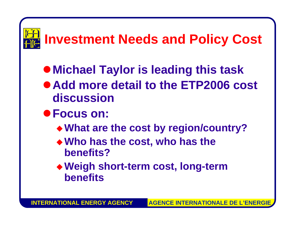# **Investment Needs and Policy Cost**

- $\bullet$  **Michael Taylor is leading this task**
- Add more detail to the ETP2006 cost **discussion**
- z**Focus on:**
	- **What are the cost by region/country?**
	- **Who has the cost, who has the benefits?**
	- **Weigh short-term cost, long-term benefits**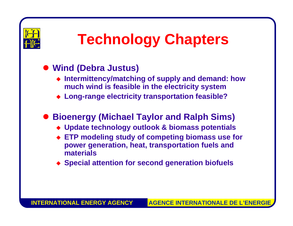

## **Technology Chapters**

#### $\bullet$  **Wind (Debra Justus)**

- **Intermittency/matching of supply and demand: how much wind is feasible in the electricity system**
- **Long-range electricity transportation feasible?**

#### $\bullet$ **Bioenergy (Michael Taylor and Ralph Sims)**

- **Update technology outlook & biomass potentials**
- **ETP modeling study of competing biomass use for power generation, heat, transportation fuels and materials**
- **Special attention for second generation biofuels**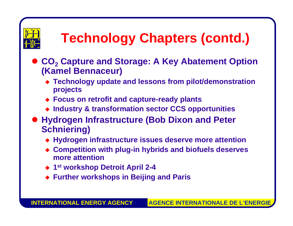

## **Technology Chapters (contd.)**

- CO<sub>2</sub> Capture and Storage: A Key Abatement Option **(Kamel Bennaceur)**
	- **Technology update and lessons from pilot/demonstration projects**
	- **Focus on retrofit and capture-ready plants**
	- **Industry & transformation sector CCS opportunities**
- **Hydrogen Infrastructure (Bob Dixon and Peter Schniering)**
	- **Hydrogen infrastructure issues deserve more attention**
	- **Competition with plug-in hybrids and biofuels deserves more attention**
	- **1st workshop Detroit April 2 - 4**
	- **Further workshops in Beijing and Paris**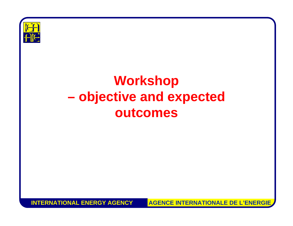

#### **Workshop objective and expected outcomes**

**INTERNATIONAL ENERGY AGENCY**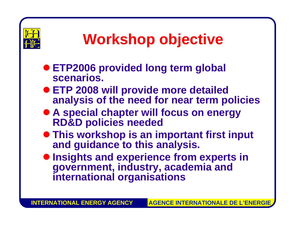

## **Workshop objective**

- **ETP2006 provided long term global scenarios.**
- **ETP 2008 will provide more detailed analysis of the need for near term policies**
- **A special chapter will focus on energy RD&D policies needed**
- **This workshop is an important first input and guidance to this analysis.**
- $\bullet$  **Insights and experience from experts in government, industry, academia and international organisations**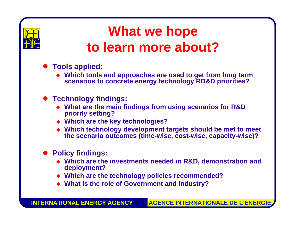

#### **What we hope to learn more about?**

- **Tools applied:** 
	- **Which tools and approaches are used to get from long term scenarios to concrete energy technology RD&D priorities?**
- **Technology findings:** 
	- ◆ What are the main findings from using scenarios for R&D **priority setting?**
	- **Which are the key technologies?**
	- **Which technology development targets should be met to meet the scenario outcomes (time-wise, cost-wise, capacity-wise)?**
- z **Policy findings:**
	- **Which are the investments needed in R&D, demonstration and deployment?**
	- **Which are the technology policies recommended?**
	- **What is the role of Government and industry?**

**INTERNATIONAL ENERGY AGENCY**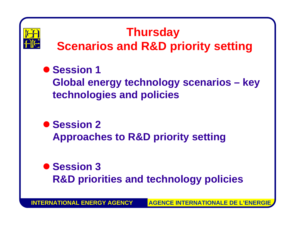

#### **Thursday**

- **Scenarios and R&D priority setting**
- $\bullet$  **Session 1** 
	- **Global energy technology scenarios – key technologies and policies**
- $\bullet$  **Session 2 Approaches to R&D priority setting**
- $\bullet$  **Session 3 R&D priorities and technology policies**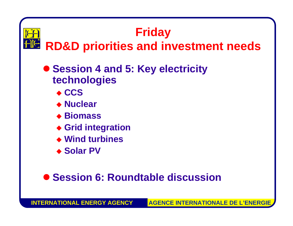

#### **Friday RD&D priorities and investment needs**

- **Session 4 and 5: Key electricity technologies**
	- ◆ CCS
	- **Nuclear**
	- ◆ Biomass
	- **Grid integration**
	- **Wind turbines**
	- ◆ Solar PV

#### **• Session 6: Roundtable discussion**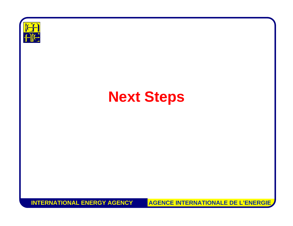

#### **Next Steps**

**INTERNATIONAL ENERGY AGENCY**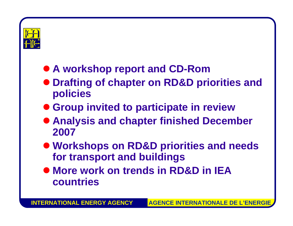

#### **• A workshop report and CD-Rom**

- $\bullet$  **Drafting of chapter on RD&D priorities and policies**
- **Group invited to participate in review**
- **Analysis and chapter finished December 2007**
- z **Workshops on RD&D priorities and needs for transport and buildings**
- $\bullet$  **More work on trends in RD&D in IEA countries**

**INTERNATIONAL ENERGY AGENCYAGENCE INTERNATIONALE DE L'ENERGII**